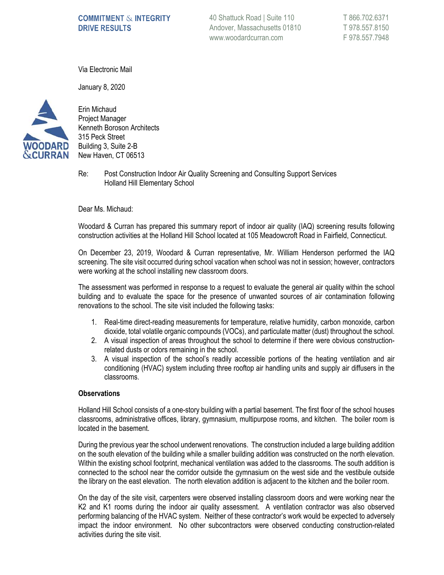# **COMMITMENT & INTEGRITY DRIVE RESULTS**

40 Shattuck Road | Suite 110 Andover, Massachusetts 01810 www.woodardcurran.com

T 866.702.6371 T 978.557.8150 F 978.557.7948

Via Electronic Mail

January 8, 2020



Erin Michaud Project Manager Kenneth Boroson Architects 315 Peck Street Building 3, Suite 2-B New Haven, CT 06513

Re: Post Construction Indoor Air Quality Screening and Consulting Support Services Holland Hill Elementary School

Dear Ms. Michaud:

Woodard & Curran has prepared this summary report of indoor air quality (IAQ) screening results following construction activities at the Holland Hill School located at 105 Meadowcroft Road in Fairfield, Connecticut.

On December 23, 2019, Woodard & Curran representative, Mr. William Henderson performed the IAQ screening. The site visit occurred during school vacation when school was not in session; however, contractors were working at the school installing new classroom doors.

The assessment was performed in response to a request to evaluate the general air quality within the school building and to evaluate the space for the presence of unwanted sources of air contamination following renovations to the school. The site visit included the following tasks:

- 1. Real-time direct-reading measurements for temperature, relative humidity, carbon monoxide, carbon dioxide, total volatile organic compounds (VOCs), and particulate matter (dust) throughout the school.
- 2. A visual inspection of areas throughout the school to determine if there were obvious constructionrelated dusts or odors remaining in the school.
- 3. A visual inspection of the school's readily accessible portions of the heating ventilation and air conditioning (HVAC) system including three rooftop air handling units and supply air diffusers in the classrooms.

#### **Observations**

Holland Hill School consists of a one-story building with a partial basement. The first floor of the school houses classrooms, administrative offices, library, gymnasium, multipurpose rooms, and kitchen. The boiler room is located in the basement.

During the previous year the school underwent renovations. The construction included a large building addition on the south elevation of the building while a smaller building addition was constructed on the north elevation. Within the existing school footprint, mechanical ventilation was added to the classrooms. The south addition is connected to the school near the corridor outside the gymnasium on the west side and the vestibule outside the library on the east elevation. The north elevation addition is adjacent to the kitchen and the boiler room.

On the day of the site visit, carpenters were observed installing classroom doors and were working near the K2 and K1 rooms during the indoor air quality assessment. A ventilation contractor was also observed performing balancing of the HVAC system. Neither of these contractor's work would be expected to adversely impact the indoor environment. No other subcontractors were observed conducting construction-related activities during the site visit.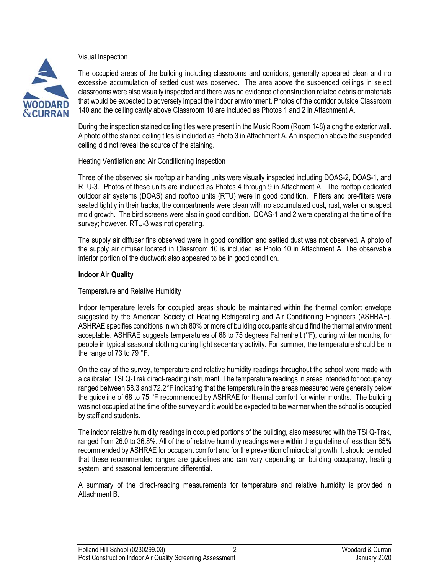

## Visual Inspection

The occupied areas of the building including classrooms and corridors, generally appeared clean and no excessive accumulation of settled dust was observed. The area above the suspended ceilings in select classrooms were also visually inspected and there was no evidence of construction related debris or materials that would be expected to adversely impact the indoor environment. Photos of the corridor outside Classroom 140 and the ceiling cavity above Classroom 10 are included as Photos 1 and 2 in Attachment A.

During the inspection stained ceiling tiles were present in the Music Room (Room 148) along the exterior wall. A photo of the stained ceiling tiles is included as Photo 3 in Attachment A. An inspection above the suspended ceiling did not reveal the source of the staining.

### Heating Ventilation and Air Conditioning Inspection

Three of the observed six rooftop air handing units were visually inspected including DOAS-2, DOAS-1, and RTU-3. Photos of these units are included as Photos 4 through 9 in Attachment A. The rooftop dedicated outdoor air systems (DOAS) and rooftop units (RTU) were in good condition. Filters and pre-filters were seated tightly in their tracks, the compartments were clean with no accumulated dust, rust, water or suspect mold growth. The bird screens were also in good condition. DOAS-1 and 2 were operating at the time of the survey; however, RTU-3 was not operating.

The supply air diffuser fins observed were in good condition and settled dust was not observed. A photo of the supply air diffuser located in Classroom 10 is included as Photo 10 in Attachment A. The observable interior portion of the ductwork also appeared to be in good condition.

### **Indoor Air Quality**

### Temperature and Relative Humidity

Indoor temperature levels for occupied areas should be maintained within the thermal comfort envelope suggested by the American Society of Heating Refrigerating and Air Conditioning Engineers (ASHRAE). ASHRAE specifies conditions in which 80% or more of building occupants should find the thermal environment acceptable. ASHRAE suggests temperatures of 68 to 75 degrees Fahrenheit (°F), during winter months, for people in typical seasonal clothing during light sedentary activity. For summer, the temperature should be in the range of 73 to 79 °F.

On the day of the survey, temperature and relative humidity readings throughout the school were made with a calibrated TSI Q-Trak direct-reading instrument. The temperature readings in areas intended for occupancy ranged between 58.3 and 72.2°F indicating that the temperature in the areas measured were generally below the guideline of 68 to 75 °F recommended by ASHRAE for thermal comfort for winter months. The building was not occupied at the time of the survey and it would be expected to be warmer when the school is occupied by staff and students.

The indoor relative humidity readings in occupied portions of the building, also measured with the TSI Q-Trak, ranged from 26.0 to 36.8%. All of the of relative humidity readings were within the guideline of less than 65% recommended by ASHRAE for occupant comfort and for the prevention of microbial growth. It should be noted that these recommended ranges are guidelines and can vary depending on building occupancy, heating system, and seasonal temperature differential.

A summary of the direct-reading measurements for temperature and relative humidity is provided in Attachment B.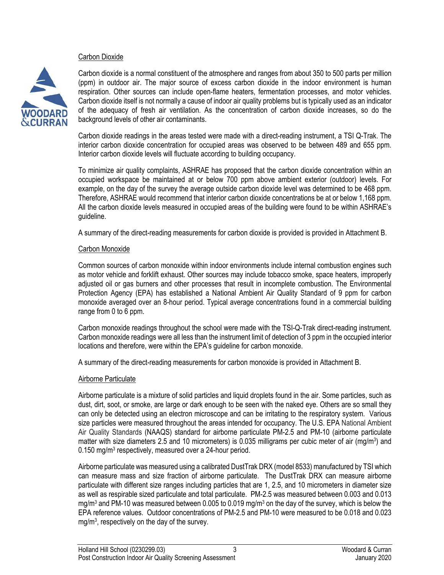#### Carbon Dioxide



Carbon dioxide is a normal constituent of the atmosphere and ranges from about 350 to 500 parts per million (ppm) in outdoor air. The major source of excess carbon dioxide in the indoor environment is human respiration. Other sources can include open-flame heaters, fermentation processes, and motor vehicles. Carbon dioxide itself is not normally a cause of indoor air quality problems but is typically used as an indicator of the adequacy of fresh air ventilation. As the concentration of carbon dioxide increases, so do the background levels of other air contaminants.

Carbon dioxide readings in the areas tested were made with a direct-reading instrument, a TSI Q-Trak. The interior carbon dioxide concentration for occupied areas was observed to be between 489 and 655 ppm. Interior carbon dioxide levels will fluctuate according to building occupancy.

To minimize air quality complaints, ASHRAE has proposed that the carbon dioxide concentration within an occupied workspace be maintained at or below 700 ppm above ambient exterior (outdoor) levels. For example, on the day of the survey the average outside carbon dioxide level was determined to be 468 ppm. Therefore, ASHRAE would recommend that interior carbon dioxide concentrations be at or below 1,168 ppm. All the carbon dioxide levels measured in occupied areas of the building were found to be within ASHRAE's guideline.

A summary of the direct-reading measurements for carbon dioxide is provided is provided in Attachment B.

### Carbon Monoxide

Common sources of carbon monoxide within indoor environments include internal combustion engines such as motor vehicle and forklift exhaust. Other sources may include tobacco smoke, space heaters, improperly adjusted oil or gas burners and other processes that result in incomplete combustion. The Environmental Protection Agency (EPA) has established a National Ambient Air Quality Standard of 9 ppm for carbon monoxide averaged over an 8-hour period. Typical average concentrations found in a commercial building range from 0 to 6 ppm.

Carbon monoxide readings throughout the school were made with the TSI-Q-Trak direct-reading instrument. Carbon monoxide readings were all less than the instrument limit of detection of 3 ppm in the occupied interior locations and therefore, were within the EPA's guideline for carbon monoxide.

A summary of the direct-reading measurements for carbon monoxide is provided in Attachment B.

### Airborne Particulate

Airborne particulate is a mixture of solid particles and liquid droplets found in the air. Some particles, such as dust, dirt, soot, or smoke, are large or dark enough to be seen with the naked eye. Others are so small they can only be detected using an electron microscope and can be irritating to the respiratory system. Various size particles were measured throughout the areas intended for occupancy. The U.S. EPA National Ambient Air Quality Standards (NAAQS) standard for airborne particulate PM-2.5 and PM-10 (airborne particulate matter with size diameters 2.5 and 10 micrometers) is 0.035 milligrams per cubic meter of air (mg/m<sup>3</sup>) and 0.150 mg/m<sup>3</sup> respectively, measured over a 24-hour period.

Airborne particulate was measured using a calibrated DustTrak DRX (model 8533) manufactured by TSI which can measure mass and size fraction of airborne particulate. The DustTrak DRX can measure airborne particulate with different size ranges including particles that are 1, 2.5, and 10 micrometers in diameter size as well as respirable sized particulate and total particulate. PM-2.5 was measured between 0.003 and 0.013 mg/m<sup>3</sup> and PM-10 was measured between 0.005 to 0.019 mg/m<sup>3</sup> on the day of the survey, which is below the EPA reference values. Outdoor concentrations of PM-2.5 and PM-10 were measured to be 0.018 and 0.023 mg/m<sup>3</sup> , respectively on the day of the survey.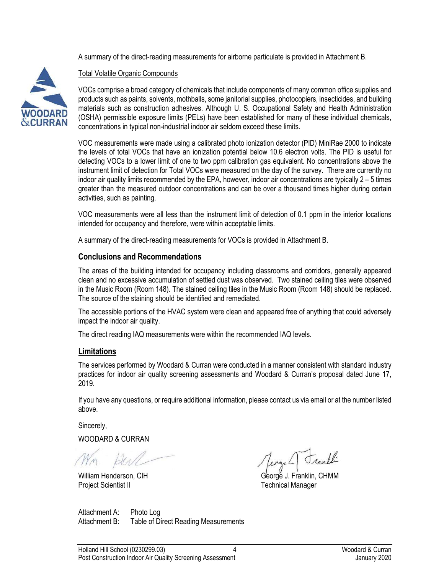A summary of the direct-reading measurements for airborne particulate is provided in Attachment B.



# Total Volatile Organic Compounds

VOCs comprise a broad category of chemicals that include components of many common office supplies and products such as paints, solvents, mothballs, some janitorial supplies, photocopiers, insecticides, and building materials such as construction adhesives. Although U. S. Occupational Safety and Health Administration (OSHA) permissible exposure limits (PELs) have been established for many of these individual chemicals, concentrations in typical non-industrial indoor air seldom exceed these limits.

VOC measurements were made using a calibrated photo ionization detector (PID) MiniRae 2000 to indicate the levels of total VOCs that have an ionization potential below 10.6 electron volts. The PID is useful for detecting VOCs to a lower limit of one to two ppm calibration gas equivalent. No concentrations above the instrument limit of detection for Total VOCs were measured on the day of the survey. There are currently no indoor air quality limits recommended by the EPA, however, indoor air concentrations are typically 2 – 5 times greater than the measured outdoor concentrations and can be over a thousand times higher during certain activities, such as painting.

VOC measurements were all less than the instrument limit of detection of 0.1 ppm in the interior locations intended for occupancy and therefore, were within acceptable limits.

A summary of the direct-reading measurements for VOCs is provided in Attachment B.

# **Conclusions and Recommendations**

The areas of the building intended for occupancy including classrooms and corridors, generally appeared clean and no excessive accumulation of settled dust was observed. Two stained ceiling tiles were observed in the Music Room (Room 148). The stained ceiling tiles in the Music Room (Room 148) should be replaced. The source of the staining should be identified and remediated.

The accessible portions of the HVAC system were clean and appeared free of anything that could adversely impact the indoor air quality.

The direct reading IAQ measurements were within the recommended IAQ levels.

# **Limitations**

The services performed by Woodard & Curran were conducted in a manner consistent with standard industry practices for indoor air quality screening assessments and Woodard & Curran's proposal dated June 17, 2019.

If you have any questions, or require additional information, please contact us via email or at the number listed above.

Sincerely,

WOODARD & CURRAN

Project Scientist II

Junthi

William Henderson, CIH George J. Franklin, CHMM

Attachment A: Photo Log Attachment B: Table of Direct Reading Measurements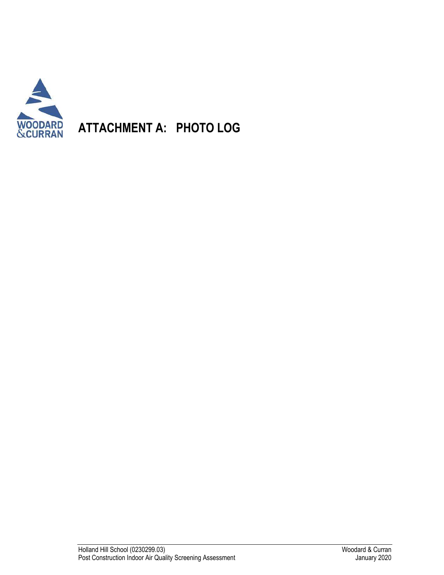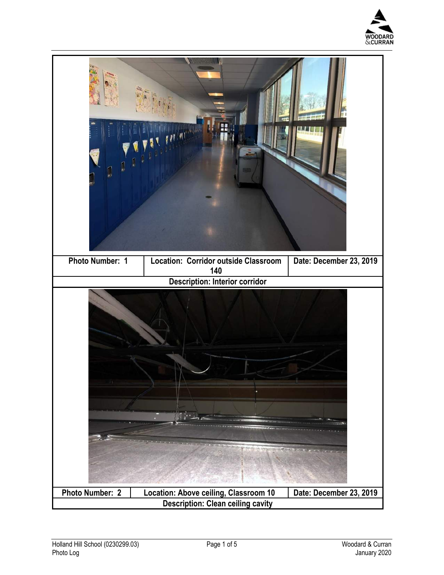

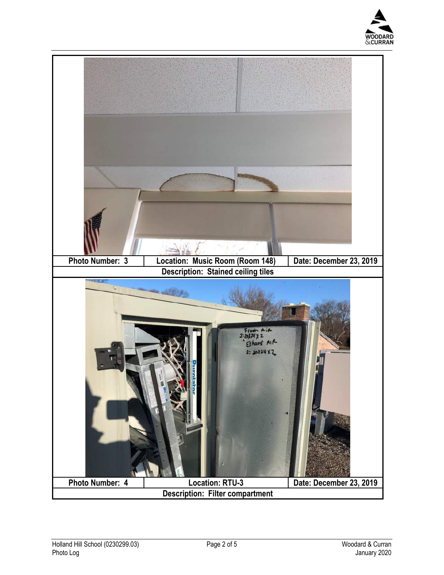

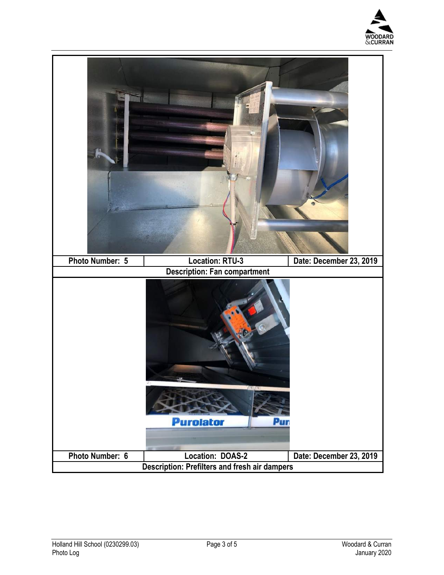

| Photo Number: 5 | <b>Location: RTU-3</b>                                                   | Date: December 23, 2019 |
|-----------------|--------------------------------------------------------------------------|-------------------------|
|                 | <b>Description: Fan compartment</b><br><b>Purolator</b><br>Pur           |                         |
|                 |                                                                          |                         |
| Photo Number: 6 | Location: DOAS-2<br><b>Description: Prefilters and fresh air dampers</b> | Date: December 23, 2019 |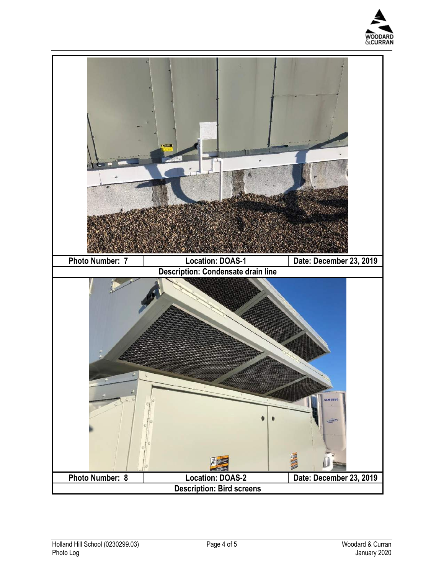

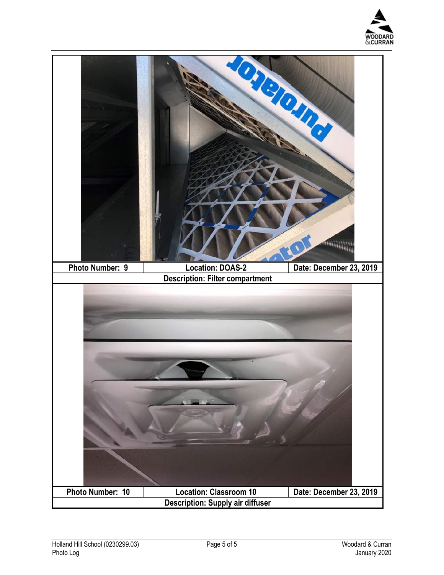

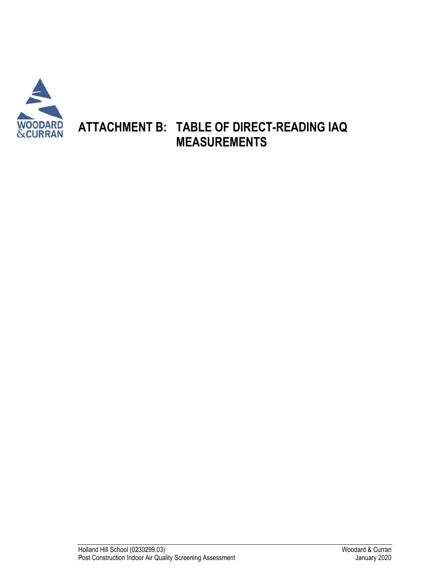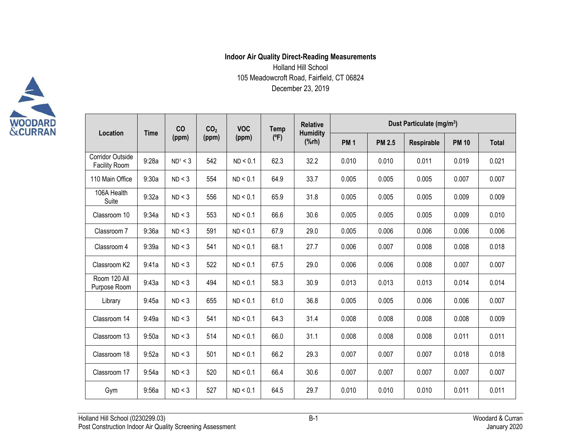# **Indoor Air Quality Direct-Reading Measurements** Holland Hill School 105 Meadowcroft Road, Fairfield, CT 06824 December 23, 2019

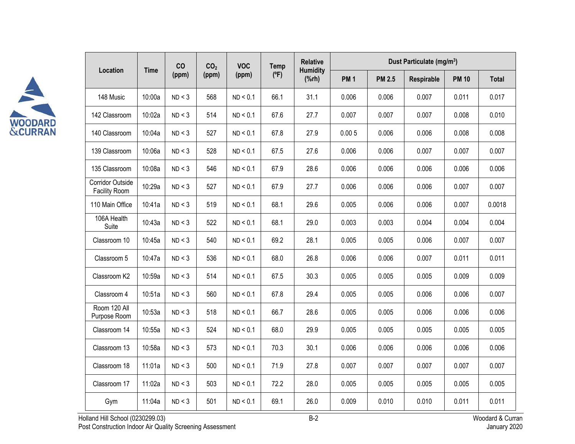

| Location                                 | <b>Time</b> | CO<br>(ppm) | CO <sub>2</sub><br>(ppm) | <b>VOC</b><br>(ppm) | <b>Temp</b><br>$(^{\circ}F)$ | <b>Relative</b><br><b>Humidity</b><br>$(% \mathbf{A})$ | Dust Particulate (mg/m <sup>3</sup> ) |               |            |              |              |
|------------------------------------------|-------------|-------------|--------------------------|---------------------|------------------------------|--------------------------------------------------------|---------------------------------------|---------------|------------|--------------|--------------|
|                                          |             |             |                          |                     |                              |                                                        | <b>PM1</b>                            | <b>PM 2.5</b> | Respirable | <b>PM 10</b> | <b>Total</b> |
| 148 Music                                | 10:00a      | ND < 3      | 568                      | ND < 0.1            | 66.1                         | 31.1                                                   | 0.006                                 | 0.006         | 0.007      | 0.011        | 0.017        |
| 142 Classroom                            | 10:02a      | ND < 3      | 514                      | ND < 0.1            | 67.6                         | 27.7                                                   | 0.007                                 | 0.007         | 0.007      | 0.008        | 0.010        |
| 140 Classroom                            | 10:04a      | ND < 3      | 527                      | ND < 0.1            | 67.8                         | 27.9                                                   | 0.005                                 | 0.006         | 0.006      | 0.008        | 0.008        |
| 139 Classroom                            | 10:06a      | ND < 3      | 528                      | ND < 0.1            | 67.5                         | 27.6                                                   | 0.006                                 | 0.006         | 0.007      | 0.007        | 0.007        |
| 135 Classroom                            | 10:08a      | ND < 3      | 546                      | ND < 0.1            | 67.9                         | 28.6                                                   | 0.006                                 | 0.006         | 0.006      | 0.006        | 0.006        |
| <b>Corridor Outside</b><br>Facility Room | 10:29a      | ND < 3      | 527                      | ND < 0.1            | 67.9                         | 27.7                                                   | 0.006                                 | 0.006         | 0.006      | 0.007        | 0.007        |
| 110 Main Office                          | 10:41a      | ND < 3      | 519                      | ND < 0.1            | 68.1                         | 29.6                                                   | 0.005                                 | 0.006         | 0.006      | 0.007        | 0.0018       |
| 106A Health<br>Suite                     | 10:43a      | ND < 3      | 522                      | ND < 0.1            | 68.1                         | 29.0                                                   | 0.003                                 | 0.003         | 0.004      | 0.004        | 0.004        |
| Classroom 10                             | 10:45a      | ND < 3      | 540                      | ND < 0.1            | 69.2                         | 28.1                                                   | 0.005                                 | 0.005         | 0.006      | 0.007        | 0.007        |
| Classroom 5                              | 10:47a      | ND < 3      | 536                      | ND < 0.1            | 68.0                         | 26.8                                                   | 0.006                                 | 0.006         | 0.007      | 0.011        | 0.011        |
| Classroom K2                             | 10:59a      | ND < 3      | 514                      | ND < 0.1            | 67.5                         | 30.3                                                   | 0.005                                 | 0.005         | 0.005      | 0.009        | 0.009        |
| Classroom 4                              | 10:51a      | ND < 3      | 560                      | ND < 0.1            | 67.8                         | 29.4                                                   | 0.005                                 | 0.005         | 0.006      | 0.006        | 0.007        |
| Room 120 All<br>Purpose Room             | 10:53a      | ND < 3      | 518                      | ND < 0.1            | 66.7                         | 28.6                                                   | 0.005                                 | 0.005         | 0.006      | 0.006        | 0.006        |
| Classroom 14                             | 10:55a      | ND < 3      | 524                      | ND < 0.1            | 68.0                         | 29.9                                                   | 0.005                                 | 0.005         | 0.005      | 0.005        | 0.005        |
| Classroom 13                             | 10:58a      | ND < 3      | 573                      | ND < 0.1            | 70.3                         | 30.1                                                   | 0.006                                 | 0.006         | 0.006      | 0.006        | 0.006        |
| Classroom 18                             | 11:01a      | ND < 3      | 500                      | ND < 0.1            | 71.9                         | 27.8                                                   | 0.007                                 | 0.007         | 0.007      | 0.007        | 0.007        |
| Classroom 17                             | 11:02a      | ND < 3      | 503                      | ND < 0.1            | 72.2                         | 28.0                                                   | 0.005                                 | 0.005         | 0.005      | 0.005        | 0.005        |
| Gym                                      | 11:04a      | ND < 3      | 501                      | ND < 0.1            | 69.1                         | 26.0                                                   | 0.009                                 | 0.010         | 0.010      | 0.011        | 0.011        |